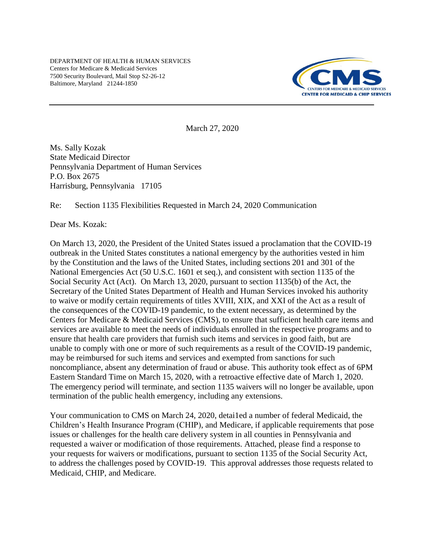DEPARTMENT OF HEALTH & HUMAN SERVICES Centers for Medicare & Medicaid Services 7500 Security Boulevard, Mail Stop S2-26-12 Baltimore, Maryland 21244-1850



March 27, 2020

Ms. Sally Kozak State Medicaid Director Pennsylvania Department of Human Services P.O. Box 2675 Harrisburg, Pennsylvania 17105

#### Re: Section 1135 Flexibilities Requested in March 24, 2020 Communication

Dear Ms. Kozak:

On March 13, 2020, the President of the United States issued a proclamation that the COVID-19 outbreak in the United States constitutes a national emergency by the authorities vested in him by the Constitution and the laws of the United States, including sections 201 and 301 of the National Emergencies Act (50 U.S.C. 1601 et seq.), and consistent with section 1135 of the Social Security Act (Act). On March 13, 2020, pursuant to section 1135(b) of the Act, the Secretary of the United States Department of Health and Human Services invoked his authority to waive or modify certain requirements of titles XVIII, XIX, and XXI of the Act as a result of the consequences of the COVID-19 pandemic, to the extent necessary, as determined by the Centers for Medicare & Medicaid Services (CMS), to ensure that sufficient health care items and services are available to meet the needs of individuals enrolled in the respective programs and to ensure that health care providers that furnish such items and services in good faith, but are unable to comply with one or more of such requirements as a result of the COVID-19 pandemic, may be reimbursed for such items and services and exempted from sanctions for such noncompliance, absent any determination of fraud or abuse. This authority took effect as of 6PM Eastern Standard Time on March 15, 2020, with a retroactive effective date of March 1, 2020. The emergency period will terminate, and section 1135 waivers will no longer be available, upon termination of the public health emergency, including any extensions.

Your communication to CMS on March 24, 2020, detai1ed a number of federal Medicaid, the Children's Health Insurance Program (CHIP), and Medicare, if applicable requirements that pose issues or challenges for the health care delivery system in all counties in Pennsylvania and requested a waiver or modification of those requirements. Attached, please find a response to your requests for waivers or modifications, pursuant to section 1135 of the Social Security Act, to address the challenges posed by COVID-19. This approval addresses those requests related to Medicaid, CHIP, and Medicare.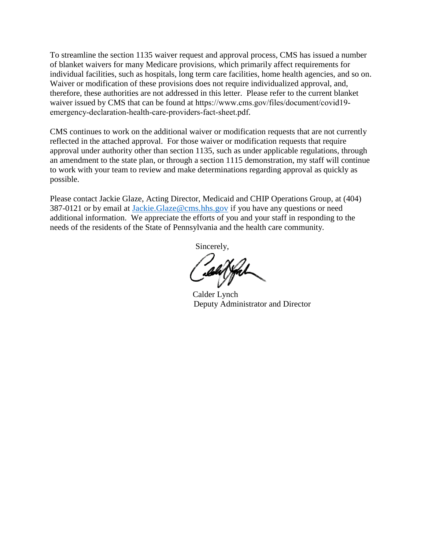To streamline the section 1135 waiver request and approval process, CMS has issued a number of blanket waivers for many Medicare provisions, which primarily affect requirements for individual facilities, such as hospitals, long term care facilities, home health agencies, and so on. Waiver or modification of these provisions does not require individualized approval, and, therefore, these authorities are not addressed in this letter. Please refer to the current blanket waiver issued by CMS that can be found at [https://www.cms.gov/files/document/covid19](https://www.cms.gov/files/document/covid19-emergency-declaration-health-care-providers-fact-sheet.pdf) [emergency-declaration-health-care-providers-fact-sheet.pdf](https://www.cms.gov/files/document/covid19-emergency-declaration-health-care-providers-fact-sheet.pdf).

CMS continues to work on the additional waiver or modification requests that are not currently reflected in the attached approval. For those waiver or modification requests that require approval under authority other than section 1135, such as under applicable regulations, through an amendment to the state plan, or through a section 1115 demonstration, my staff will continue to work with your team to review and make determinations regarding approval as quickly as possible.

Please contact Jackie Glaze, Acting Director, Medicaid and CHIP Operations Group, at (404) 387-0121 or by email at [Jackie.Glaze@cms.hhs.gov](mailto:Jackie.Glaze@cms.hhs.gov) if you have any questions or need additional information. We appreciate the efforts of you and your staff in responding to the needs of the residents of the State of Pennsylvania and the health care community.

Sincerely,

 Calder Lynch Deputy Administrator and Director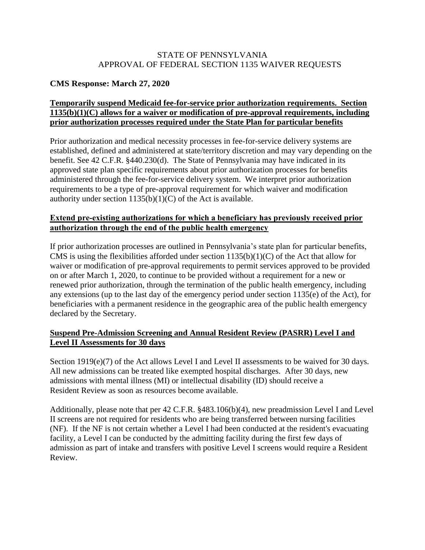#### STATE OF PENNSYLVANIA APPROVAL OF FEDERAL SECTION 1135 WAIVER REQUESTS

# **CMS Response: March 27, 2020**

# **Temporarily suspend Medicaid fee-for-service prior authorization requirements. Section 1135(b)(1)(C) allows for a waiver or modification of pre-approval requirements, including prior authorization processes required under the State Plan for particular benefits**

Prior authorization and medical necessity processes in fee-for-service delivery systems are established, defined and administered at state/territory discretion and may vary depending on the benefit. See 42 C.F.R. §440.230(d). The State of Pennsylvania may have indicated in its approved state plan specific requirements about prior authorization processes for benefits administered through the fee-for-service delivery system. We interpret prior authorization requirements to be a type of pre-approval requirement for which waiver and modification authority under section  $1135(b)(1)(C)$  of the Act is available.

#### **Extend pre-existing authorizations for which a beneficiary has previously received prior authorization through the end of the public health emergency**

If prior authorization processes are outlined in Pennsylvania's state plan for particular benefits, CMS is using the flexibilities afforded under section 1135(b)(1)(C) of the Act that allow for waiver or modification of pre-approval requirements to permit services approved to be provided on or after March 1, 2020, to continue to be provided without a requirement for a new or renewed prior authorization, through the termination of the public health emergency, including any extensions (up to the last day of the emergency period under section 1135(e) of the Act), for beneficiaries with a permanent residence in the geographic area of the public health emergency declared by the Secretary.

## **Suspend Pre-Admission Screening and Annual Resident Review (PASRR) Level I and Level II Assessments for 30 days**

Section 1919(e)(7) of the Act allows Level I and Level II assessments to be waived for 30 days. All new admissions can be treated like exempted hospital discharges. After 30 days, new admissions with mental illness (MI) or intellectual disability (ID) should receive a Resident Review as soon as resources become available.

Additionally, please note that per 42 C.F.R. §483.106(b)(4), new preadmission Level I and Level II screens are not required for residents who are being transferred between nursing facilities (NF). If the NF is not certain whether a Level I had been conducted at the resident's evacuating facility, a Level I can be conducted by the admitting facility during the first few days of admission as part of intake and transfers with positive Level I screens would require a Resident Review.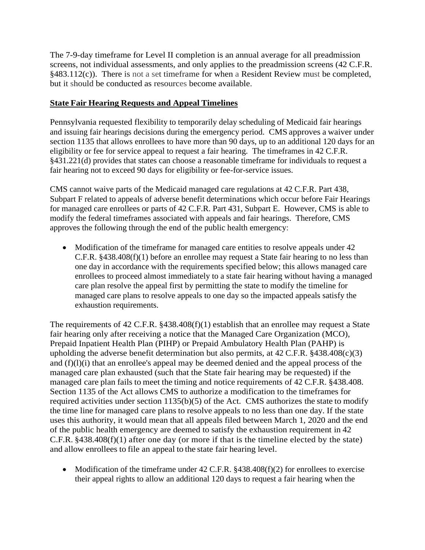The 7-9-day timeframe for Level II completion is an annual average for all preadmission screens, not individual assessments, and only applies to the preadmission screens (42 C.F.R.  $§483.112(c)$ ). There is not a set timeframe for when a Resident Review must be completed, but it should be conducted as resources become available.

# **State Fair Hearing Requests and Appeal Timelines**

Pennsylvania requested flexibility to temporarily delay scheduling of Medicaid fair hearings and issuing fair hearings decisions during the emergency period. CMS approves a waiver under section 1135 that allows enrollees to have more than 90 days, up to an additional 120 days for an eligibility or fee for service appeal to request a fair hearing. The timeframes in 42 C.F.R. §431.221(d) provides that states can choose a reasonable timeframe for individuals to request a fair hearing not to exceed 90 days for eligibility or fee-for-service issues.

CMS cannot waive parts of the Medicaid managed care regulations at 42 C.F.R. Part 438, Subpart F related to appeals of adverse benefit determinations which occur before Fair Hearings for managed care enrollees or parts of 42 C.F.R. Part 431, Subpart E. However, CMS is able to modify the federal timeframes associated with appeals and fair hearings. Therefore, CMS approves the following through the end of the public health emergency:

• Modification of the timeframe for managed care entities to resolve appeals under 42 C.F.R. §438.408(f)(1) before an enrollee may request a State fair hearing to no less than one day in accordance with the requirements specified below; this allows managed care enrollees to proceed almost immediately to a state fair hearing without having a managed care plan resolve the appeal first by permitting the state to modify the timeline for managed care plans to resolve appeals to one day so the impacted appeals satisfy the exhaustion requirements.

The requirements of 42 C.F.R. §438.408(f)(1) establish that an enrollee may request a State fair hearing only after receiving a notice that the Managed Care Organization (MCO), Prepaid Inpatient Health Plan (PIHP) or Prepaid Ambulatory Health Plan (PAHP) is upholding the adverse benefit determination but also permits, at  $42$  C.F.R.  $§438.408(c)(3)$ and (f)(l)(i) that an enrollee's appeal may be deemed denied and the appeal process of the managed care plan exhausted (such that the State fair hearing may be requested) if the managed care plan fails to meet the timing and notice requirements of 42 C.F.R. §438.408. Section 1135 of the Act allows CMS to authorize a modification to the timeframes for required activities under section 1135(b)(5) of the Act. CMS authorizes the state to modify the time line for managed care plans to resolve appeals to no less than one day. If the state uses this authority, it would mean that all appeals filed between March 1, 2020 and the end of the public health emergency are deemed to satisfy the exhaustion requirement in 42 C.F.R. §438.408(f)(1) after one day (or more if that is the timeline elected by the state) and allow enrollees to file an appeal to the state fair hearing level.

• Modification of the timeframe under  $42$  C.F.R. §438.408(f)(2) for enrollees to exercise their appeal rights to allow an additional 120 days to request a fair hearing when the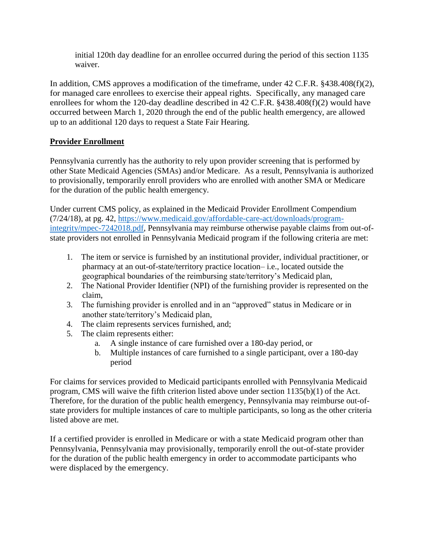initial 120th day deadline for an enrollee occurred during the period of this section 1135 waiver.

In addition, CMS approves a modification of the timeframe, under 42 C.F.R. §438.408(f)(2), for managed care enrollees to exercise their appeal rights. Specifically, any managed care enrollees for whom the 120-day deadline described in 42 C.F.R. §438.408(f)(2) would have occurred between March 1, 2020 through the end of the public health emergency, are allowed up to an additional 120 days to request a State Fair Hearing.

# **Provider Enrollment**

Pennsylvania currently has the authority to rely upon provider screening that is performed by other State Medicaid Agencies (SMAs) and/or Medicare. As a result, Pennsylvania is authorized to provisionally, temporarily enroll providers who are enrolled with another SMA or Medicare for the duration of the public health emergency.

Under current CMS policy, as explained in the Medicaid Provider Enrollment Compendium (7/24/18), at pg. 42, [https://www.medicaid.gov/affordable-care-act/downloads/program](https://www.medicaid.gov/affordable-care-act/downloads/program-integrity/mpec-7242018.pdf)[integrity/mpec-7242018.pdf,](https://www.medicaid.gov/affordable-care-act/downloads/program-integrity/mpec-7242018.pdf) Pennsylvania may reimburse otherwise payable claims from out-ofstate providers not enrolled in Pennsylvania Medicaid program if the following criteria are met:

- 1. The item or service is furnished by an institutional provider, individual practitioner, or pharmacy at an out-of-state/territory practice location– i.e., located outside the geographical boundaries of the reimbursing state/territory's Medicaid plan,
- 2. The National Provider Identifier (NPI) of the furnishing provider is represented on the claim,
- 3. The furnishing provider is enrolled and in an "approved" status in Medicare or in another state/territory's Medicaid plan,
- 4. The claim represents services furnished, and;
- 5. The claim represents either:
	- a. A single instance of care furnished over a 180-day period, or
	- b. Multiple instances of care furnished to a single participant, over a 180-day period

For claims for services provided to Medicaid participants enrolled with Pennsylvania Medicaid program, CMS will waive the fifth criterion listed above under section 1135(b)(1) of the Act. Therefore, for the duration of the public health emergency, Pennsylvania may reimburse out-ofstate providers for multiple instances of care to multiple participants, so long as the other criteria listed above are met.

If a certified provider is enrolled in Medicare or with a state Medicaid program other than Pennsylvania, Pennsylvania may provisionally, temporarily enroll the out-of-state provider for the duration of the public health emergency in order to accommodate participants who were displaced by the emergency.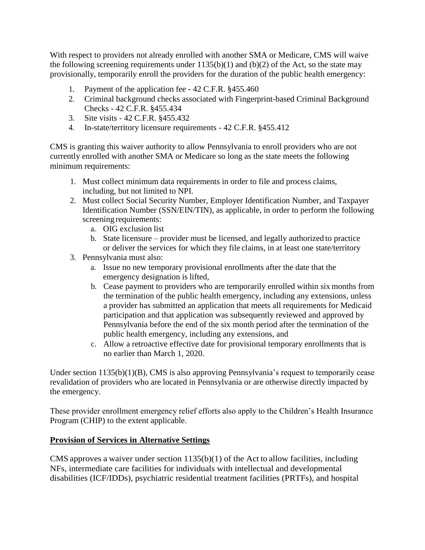With respect to providers not already enrolled with another SMA or Medicare, CMS will waive the following screening requirements under  $1135(b)(1)$  and  $(b)(2)$  of the Act, so the state may provisionally, temporarily enroll the providers for the duration of the public health emergency:

- 1. Payment of the application fee 42 C.F.R. §455.460
- 2. Criminal background checks associated with Fingerprint-based Criminal Background Checks - 42 C.F.R. §455.434
- 3. Site visits 42 C.F.R. §455.432
- 4. In-state/territory licensure requirements 42 C.F.R. §455.412

CMS is granting this waiver authority to allow Pennsylvania to enroll providers who are not currently enrolled with another SMA or Medicare so long as the state meets the following minimum requirements:

- 1. Must collect minimum data requirements in order to file and process claims, including, but not limited to NPI.
- 2. Must collect Social Security Number, Employer Identification Number, and Taxpayer Identification Number (SSN/EIN/TIN), as applicable, in order to perform the following screening requirements:
	- a. OIG exclusion list
	- b. State licensure provider must be licensed, and legally authorized to practice or deliver the services for which they file claims, in at least one state/territory
- 3. Pennsylvania must also:
	- a. Issue no new temporary provisional enrollments after the date that the emergency designation is lifted,
	- b. Cease payment to providers who are temporarily enrolled within six months from the termination of the public health emergency, including any extensions, unless a provider has submitted an application that meets all requirements for Medicaid participation and that application was subsequently reviewed and approved by Pennsylvania before the end of the six month period after the termination of the public health emergency, including any extensions, and
	- c. Allow a retroactive effective date for provisional temporary enrollments that is no earlier than March 1, 2020.

Under section 1135(b)(1)(B), CMS is also approving Pennsylvania's request to temporarily cease revalidation of providers who are located in Pennsylvania or are otherwise directly impacted by the emergency.

These provider enrollment emergency relief efforts also apply to the Children's Health Insurance Program (CHIP) to the extent applicable.

## **Provision of Services in Alternative Settings**

CMS approves a waiver under section 1135(b)(1) of the Act to allow facilities, including NFs, intermediate care facilities for individuals with intellectual and developmental disabilities (ICF/IDDs), psychiatric residential treatment facilities (PRTFs), and hospital